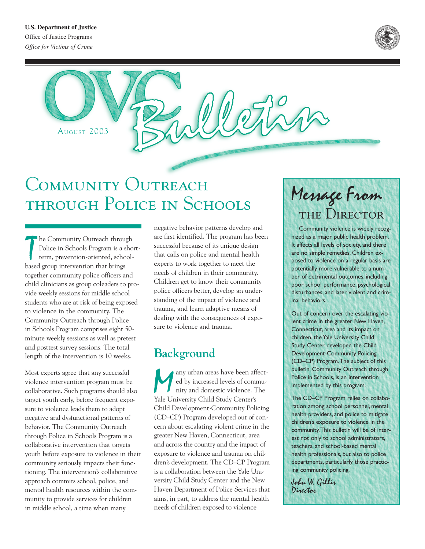

AUGUST 2003

# COMMUNITY OUTREACH through Police in Schools

The Community Outreach throup<br>
Police in Schools Program is a s<br>
term, prevention-oriented, schools<br>
based group intervention that brings he Community Outreach through Police in Schools Program is a shortterm, prevention-oriented, schooltogether community police officers and child clinicians as group coleaders to provide weekly sessions for middle school students who are at risk of being exposed to violence in the community. The Community Outreach through Police in Schools Program comprises eight 50 minute weekly sessions as well as pretest and posttest survey sessions. The total length of the intervention is 10 weeks.

Most experts agree that any successful violence intervention program must be collaborative. Such programs should also target youth early, before frequent exposure to violence leads them to adopt negative and dysfunctional patterns of behavior. The Community Outreach through Police in Schools Program is a collaborative intervention that targets youth before exposure to violence in their community seriously impacts their functioning. The intervention's collaborative approach commits school, police, and mental health resources within the community to provide services for children in middle school, a time when many

negative behavior patterns develop and are first identified. The program has been successful because of its unique design that calls on police and mental health experts to work together to meet the needs of children in their community. Children get to know their community police officers better, develop an understanding of the impact of violence and trauma, and learn adaptive means of dealing with the consequences of exposure to violence and trauma.

# **Background**

Many urban areas have been affect-<br>ed by increased levels of commu-<br>nity and domestic violence. The<br>Yale University Child Study Center's ed by increased levels of community and domestic violence. The Yale University Child Study Center's Child Development-Community Policing (CD–CP) Program developed out of concern about escalating violent crime in the greater New Haven, Connecticut, area and across the country and the impact of exposure to violence and trauma on children's development. The CD–CP Program is a collaboration between the Yale University Child Study Center and the New Haven Department of Police Services that aims, in part, to address the mental health needs of children exposed to violence

# Message From THE DIRECTOR

Community violence is widely recognized as a major public health problem. It affects all levels of society, and there are no simple remedies. Children exposed to violence on a regular basis are potentially more vulnerable to a number of detrimental outcomes, including poor school performance, psychological disturbances, and later violent and criminal behaviors.

Out of concern over the escalating violent crime in the greater New Haven, Connecticut, area and its impact on children, the Yale University Child Study Center developed the Child Development-Community Policing (CD–CP) Program.The subject of this bulletin, Community Outreach through Police in Schools, is an intervention implemented by this program.

The CD–CP Program relies on collaboration among school personnel, mental health providers, and police to mitigate children's exposure to violence in the community.This bulletin will be of interest not only to school administrators, teachers, and school-based mental health professionals, but also to police departments, particularly those practicing community policing.

John W. Gillis Director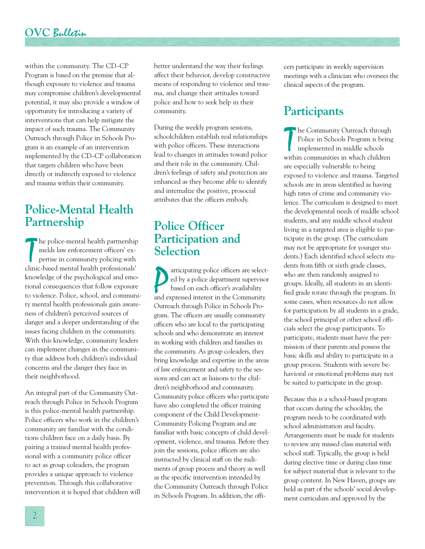### **OVC** Bulletin

within the community. The CD–CP Program is based on the premise that although exposure to violence and trauma may compromise children's developmental potential, it may also provide a window of opportunity for introducing a variety of interventions that can help mitigate the impact of such trauma. The Community Outreach through Police in Schools Program is an example of an intervention implemented by the CD–CP collaboration that targets children who have been directly or indirectly exposed to violence and trauma within their community.

### **Police-Mental Health Partnership**

The police-mental health partnership<br>
melds law enforcement officers' ex-<br>
pertise in community policing with<br>
clinic-based mental health professionals' he police-mental health partnership melds law enforcement officers' expertise in community policing with knowledge of the psychological and emotional consequences that follow exposure to violence. Police, school, and community mental health professionals gain awareness of children's perceived sources of danger and a deeper understanding of the issues facing children in the community. With this knowledge, community leaders can implement changes in the community that address both children's individual concerns and the danger they face in their neighborhood.

An integral part of the Community Outreach through Police in Schools Program is this police-mental health partnership. Police officers who work in the children's community are familiar with the conditions children face on a daily basis. By pairing a trained mental health professional with a community police officer to act as group coleaders, the program provides a unique approach to violence prevention. Through this collaborative intervention it is hoped that children will better understand the way their feelings affect their behavior, develop constructive means of responding to violence and trauma, and change their attitudes toward police and how to seek help in their community.

During the weekly program sessions, schoolchildren establish real relationships with police officers. These interactions lead to changes in attitudes toward police and their role in the community. Children's feelings of safety and protection are enhanced as they become able to identify and internalize the positive, prosocial attributes that the officers embody.

#### **Police Officer Participation and Selection**

articipating police officers are selected by a police department supervisor based on each officer's availability and expressed interest in the Community articipating police officers are selected by a police department supervisor based on each officer's availability Outreach through Police in Schools Program. The officers are usually community officers who are local to the participating schools and who demonstrate an interest in working with children and families in the community. As group coleaders, they bring knowledge and expertise in the areas of law enforcement and safety to the sessions and can act as liaisons to the children's neighborhood and community. Community police officers who participate have also completed the officer training component of the Child Development-Community Policing Program and are familiar with basic concepts of child development, violence, and trauma. Before they join the sessions, police officers are also instructed by clinical staff on the rudiments of group process and theory as well as the specific intervention intended by the Community Outreach through Police in Schools Program. In addition, the officers participate in weekly supervision meetings with a clinician who oversees the clinical aspects of the program.

## **Participants**

The Community Outreach through<br>
Police in Schools Program is bein<br>
implemented in middle schools<br>
within communities in which children he Community Outreach through Police in Schools Program is being implemented in middle schools are especially vulnerable to being exposed to violence and trauma. Targeted schools are in areas identified as having high rates of crime and community violence. The curriculum is designed to meet the developmental needs of middle school students, and any middle school student living in a targeted area is eligible to participate in the group. (The curriculum may not be appropriate for younger students.) Each identified school selects students from fifth or sixth grade classes, who are then randomly assigned to groups. Ideally, all students in an identified grade rotate through the program. In some cases, when resources do not allow for participation by all students in a grade, the school principal or other school officials select the group participants. To participate, students must have the permission of their parents and possess the basic skills and ability to participate in a group process. Students with severe behavioral or emotional problems may not be suited to participate in the group.

Because this is a school-based program that occurs during the schoolday, the program needs to be coordinated with school administration and faculty. Arrangements must be made for students to review any missed class material with school staff. Typically, the group is held during elective time or during class time for subject material that is relevant to the group content. In New Haven, groups are held as part of the schools' social development curriculum and approved by the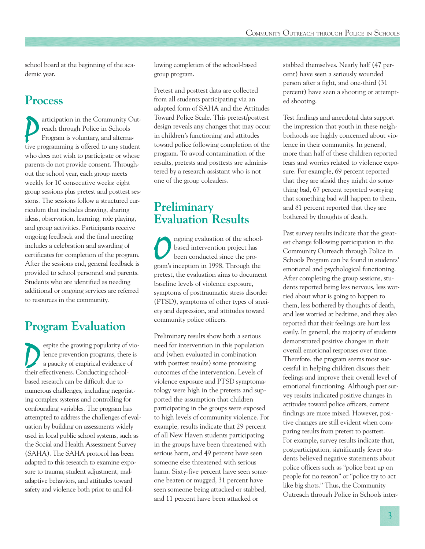school board at the beginning of the academic year.

# **Process**

articipation in the Community Out-<br>reach through Police in Schools<br>Program is voluntary, and alterna-<br>tive programming is offered to any student articipation in the Community Outreach through Police in Schools Program is voluntary, and alternawho does not wish to participate or whose parents do not provide consent. Throughout the school year, each group meets weekly for 10 consecutive weeks: eight group sessions plus pretest and posttest sessions. The sessions follow a structured curriculum that includes drawing, sharing ideas, observation, learning, role playing, and group activities. Participants receive ongoing feedback and the final meeting includes a celebration and awarding of certificates for completion of the program. After the sessions end, general feedback is provided to school personnel and parents. Students who are identified as needing additional or ongoing services are referred to resources in the community.

# **Program Evaluation**

Experience proving popularity of vio-<br>lence prevention programs, there is<br>a paucity of empirical evidence of<br>their effectiveness. Conducting schoollence prevention programs, there is a paucity of empirical evidence of their effectiveness. Conducting schoolbased research can be difficult due to numerous challenges, including negotiating complex systems and controlling for confounding variables. The program has attempted to address the challenges of evaluation by building on assessments widely used in local public school systems, such as the Social and Health Assessment Survey (SAHA). The SAHA protocol has been adapted to this research to examine exposure to trauma, student adjustment, maladaptive behaviors, and attitudes toward safety and violence both prior to and following completion of the school-based group program.

Pretest and posttest data are collected from all students participating via an adapted form of SAHA and the Attitudes Toward Police Scale. This pretest/posttest design reveals any changes that may occur in children's functioning and attitudes toward police following completion of the program. To avoid contamination of the results, pretests and posttests are administered by a research assistant who is not one of the group coleaders.

### **Preliminary Evaluation Results**

O ngoing evaluation of the school-<br>based intervention project has<br>been conducted since the pro-<br>gram's inception in 1998. Through the based intervention project has been conducted since the propretest, the evaluation aims to document baseline levels of violence exposure, symptoms of posttraumatic stress disorder (PTSD), symptoms of other types of anxiety and depression, and attitudes toward community police officers.

Preliminary results show both a serious need for intervention in this population and (when evaluated in combination with posttest results) some promising outcomes of the intervention. Levels of violence exposure and PTSD symptomatology were high in the pretests and supported the assumption that children participating in the groups were exposed to high levels of community violence. For example, results indicate that 29 percent of all New Haven students participating in the groups have been threatened with serious harm, and 49 percent have seen someone else threatened with serious harm. Sixty-five percent have seen someone beaten or mugged, 31 percent have seen someone being attacked or stabbed, and 11 percent have been attacked or

stabbed themselves. Nearly half (47 percent) have seen a seriously wounded person after a fight, and one-third (31 percent) have seen a shooting or attempted shooting.

Test findings and anecdotal data support the impression that youth in these neighborhoods are highly concerned about violence in their community. In general, more than half of these children reported fears and worries related to violence exposure. For example, 69 percent reported that they are afraid they might do something bad, 67 percent reported worrying that something bad will happen to them, and 81 percent reported that they are bothered by thoughts of death.

Past survey results indicate that the greatest change following participation in the Community Outreach through Police in Schools Program can be found in students' emotional and psychological functioning. After completing the group sessions, students reported being less nervous, less worried about what is going to happen to them, less bothered by thoughts of death, and less worried at bedtime, and they also reported that their feelings are hurt less easily. In general, the majority of students demonstrated positive changes in their overall emotional responses over time. Therefore, the program seems most successful in helping children discuss their feelings and improve their overall level of emotional functioning. Although past survey results indicated positive changes in attitudes toward police officers, current findings are more mixed. However, positive changes are still evident when comparing results from pretest to posttest. For example, survey results indicate that, postparticipation, significantly fewer students believed negative statements about police officers such as "police beat up on people for no reason" or "police try to act like big shots." Thus, the Community Outreach through Police in Schools inter-